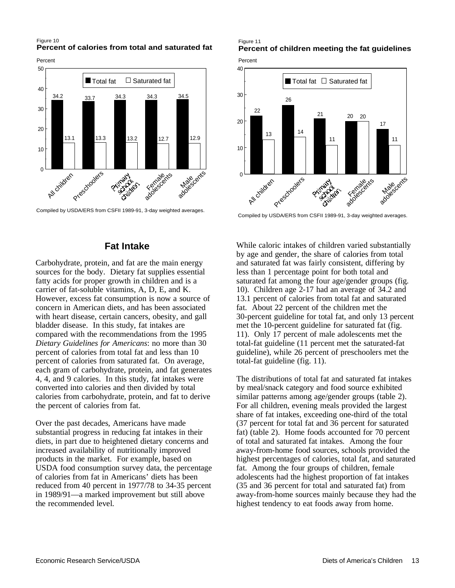Figure 10 **Percent of calories from total and saturated fat**





Compiled by USDA/ERS from CSFII 1989-91, 3-day weighted averages.

### **Fat Intake**

Carbohydrate, protein, and fat are the main energy sources for the body. Dietary fat supplies essential fatty acids for proper growth in children and is a carrier of fat-soluble vitamins, A, D, E, and K. However, excess fat consumption is now a source of concern in American diets, and has been associated with heart disease, certain cancers, obesity, and gall bladder disease. In this study, fat intakes are compared with the recommendations from the 1995 *Dietary Guidelines for Americans*: no more than 30 percent of calories from total fat and less than 10 percent of calories from saturated fat. On average, each gram of carbohydrate, protein, and fat generates 4, 4, and 9 calories. In this study, fat intakes were converted into calories and then divided by total calories from carbohydrate, protein, and fat to derive the percent of calories from fat.

Over the past decades, Americans have made substantial progress in reducing fat intakes in their diets, in part due to heightened dietary concerns and increased availability of nutritionally improved products in the market. For example, based on USDA food consumption survey data, the percentage of calories from fat in Americans' diets has been reduced from 40 percent in 1977/78 to 34-35 percent in 1989/91—a marked improvement but still above the recommended level.

### Figure 11 **Percent of children meeting the fat guidelines**

Percent



Compiled by USDA/ERS from CSFII 1989-91, 3-day weighted averages.

While caloric intakes of children varied substantially by age and gender, the share of calories from total and saturated fat was fairly consistent, differing by less than 1 percentage point for both total and saturated fat among the four age/gender groups (fig. 10). Children age 2-17 had an average of 34.2 and 13.1 percent of calories from total fat and saturated fat. About 22 percent of the children met the 30-percent guideline for total fat, and only 13 percent met the 10-percent guideline for saturated fat (fig. 11). Only 17 percent of male adolescents met the total-fat guideline (11 percent met the saturated-fat guideline), while 26 percent of preschoolers met the total-fat guideline (fig. 11).

The distributions of total fat and saturated fat intakes by meal/snack category and food source exhibited similar patterns among age/gender groups (table 2). For all children, evening meals provided the largest share of fat intakes, exceeding one-third of the total (37 percent for total fat and 36 percent for saturated fat) (table 2). Home foods accounted for 70 percent of total and saturated fat intakes. Among the four away-from-home food sources, schools provided the highest percentages of calories, total fat, and saturated fat. Among the four groups of children, female adolescents had the highest proportion of fat intakes (35 and 36 percent for total and saturated fat) from away-from-home sources mainly because they had the highest tendency to eat foods away from home.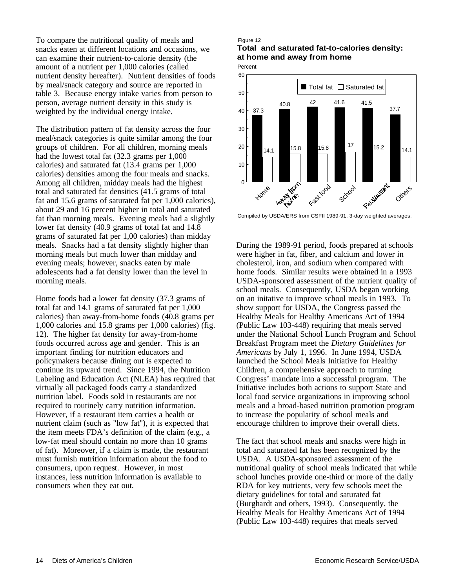To compare the nutritional quality of meals and snacks eaten at different locations and occasions, we can examine their nutrient-to-calorie density (the amount of a nutrient per 1,000 calories (called nutrient density hereafter). Nutrient densities of foods by meal/snack category and source are reported in table 3. Because energy intake varies from person to person, average nutrient density in this study is weighted by the individual energy intake.

The distribution pattern of fat density across the four meal/snack categories is quite similar among the four groups of children. For all children, morning meals had the lowest total fat (32.3 grams per 1,000 calories) and saturated fat (13.4 grams per 1,000 calories) densities among the four meals and snacks. Among all children, midday meals had the highest total and saturated fat densities (41.5 grams of total fat and 15.6 grams of saturated fat per 1,000 calories), about 29 and 16 percent higher in total and saturated fat than morning meals. Evening meals had a slightly lower fat density (40.9 grams of total fat and 14.8 grams of saturated fat per 1,00 calories) than midday meals. Snacks had a fat density slightly higher than morning meals but much lower than midday and evening meals; however, snacks eaten by male adolescents had a fat density lower than the level in morning meals.

Home foods had a lower fat density (37.3 grams of total fat and 14.1 grams of saturated fat per 1,000 calories) than away-from-home foods (40.8 grams per 1,000 calories and 15.8 grams per 1,000 calories) (fig. 12). The higher fat density for away-from-home foods occurred across age and gender. This is an important finding for nutrition educators and policymakers because dining out is expected to continue its upward trend. Since 1994, the Nutrition Labeling and Education Act (NLEA) has required that virtually all packaged foods carry a standardized nutrition label. Foods sold in restaurants are not required to routinely carry nutrition information. However, if a restaurant item carries a health or nutrient claim (such as "low fat"), it is expected that the item meets FDA's definition of the claim (e.g., a low-fat meal should contain no more than 10 grams of fat). Moreover, if a claim is made, the restaurant must furnish nutrition information about the food to consumers, upon request. However, in most instances, less nutrition information is available to consumers when they eat out.

#### Figure 12

**Total and saturated fat-to-calories density: at home and away from home**





Compiled by USDA/ERS from CSFII 1989-91, 3-day weighted averages.

During the 1989-91 period, foods prepared at schools were higher in fat, fiber, and calcium and lower in cholesterol, iron, and sodium when compared with home foods. Similar results were obtained in a 1993 USDA-sponsored assessment of the nutrient quality of school meals. Consequently, USDA began working on an initative to improve school meals in 1993. To show support for USDA, the Congress passed the Healthy Meals for Healthy Americans Act of 1994 (Public Law 103-448) requiring that meals served under the National School Lunch Program and School Breakfast Program meet the *Dietary Guidelines for Americans* by July 1, 1996. In June 1994, USDA launched the School Meals Initiative for Healthy Children, a comprehensive approach to turning Congress' mandate into a successful program. The Initiative includes both actions to support State and local food service organizations in improving school meals and a broad-based nutrition promotion program to increase the popularity of school meals and encourage children to improve their overall diets.

The fact that school meals and snacks were high in total and saturated fat has been recognized by the USDA. A USDA-sponsored assessment of the nutritional quality of school meals indicated that while school lunches provide one-third or more of the daily RDA for key nutrients, very few schools meet the dietary guidelines for total and saturated fat (Burghardt and others, 1993). Consequently, the Healthy Meals for Healthy Americans Act of 1994 (Public Law 103-448) requires that meals served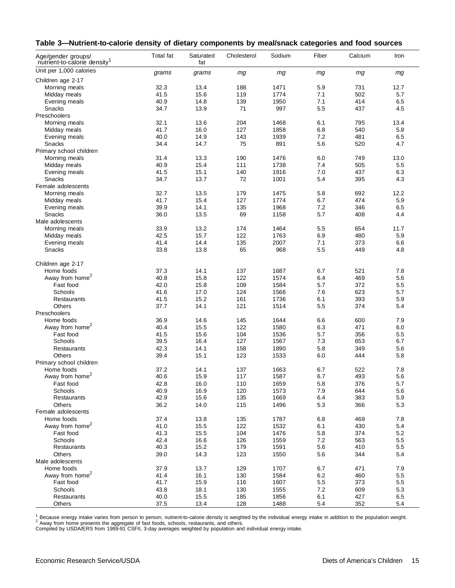|  | Table 3—Nutrient-to-calorie density of dietary components by meal/snack categories and food sources |  |  |  |  |
|--|-----------------------------------------------------------------------------------------------------|--|--|--|--|
|--|-----------------------------------------------------------------------------------------------------|--|--|--|--|

| Age/gender groups/<br>nutrient-to-calorie density <sup>1</sup> | <b>Total fat</b> | Saturated<br>fat | Cholesterol | Sodium | Fiber | Calcium | Iron    |
|----------------------------------------------------------------|------------------|------------------|-------------|--------|-------|---------|---------|
| Unit per 1,000 calories                                        | grams            | grams            | mg          | mg     | mg    | mg      | mg      |
| Children age 2-17                                              |                  |                  |             |        |       |         |         |
| Morning meals                                                  | 32.3             | 13.4             | 188         | 1471   | 5.9   | 731     | 12.7    |
| Midday meals                                                   | 41.5             | 15.6             | 119         | 1774   | 7.1   | 502     | 5.7     |
| Evening meals                                                  | 40.9             | 14.8             | 139         | 1950   | 7.1   | 414     | 6.5     |
| Snacks                                                         | 34.7             | 13.9             | 71          | 997    | 5.5   | 437     | 4.5     |
| Preschoolers                                                   |                  |                  |             |        |       |         |         |
| Morning meals                                                  | 32.1             | 13.6             | 204         | 1468   | 6.1   | 795     | 13.4    |
| Midday meals                                                   | 41.7             | 16.0             | 127         | 1858   | 6.8   | 540     | 5.8     |
| Evening meals                                                  | 40.0             | 14.9             | 143         | 1939   | 7.2   | 481     | 6.5     |
| Snacks                                                         | 34.4             | 14.7             | 75          | 891    | 5.6   | 520     | 4.7     |
| Primary school children                                        |                  |                  |             |        |       |         |         |
| Morning meals                                                  | 31.4             | 13.3             | 190         | 1476   | 6.0   | 749     | 13.0    |
| Midday meals                                                   | 40.9             | 15.4             | 111         | 1738   | 7.4   | 505     | 5.5     |
| Evening meals                                                  | 41.5             | 15.1             | 140         | 1916   | 7.0   | 437     | 6.3     |
| Snacks                                                         | 34.7             | 13.7             | 72          | 1001   | 5.4   | 395     | 4.3     |
| Female adolescents                                             |                  |                  |             |        |       |         |         |
| Morning meals                                                  | 32.7             | 13.5             | 179         | 1475   | 5.8   | 692     | 12.2    |
| Midday meals                                                   | 41.7             | 15.4             | 127         | 1774   | 6.7   | 474     | 5.9     |
| Evening meals                                                  | 39.9             | 14.1             | 135         | 1968   | 7.2   | 346     | 6.5     |
| Snacks                                                         | 36.0             | 13.5             | 69          | 1158   | 5.7   | 408     | 4.4     |
| Male adolescents                                               |                  |                  |             |        |       |         |         |
| Morning meals                                                  | 33.9             | 13.2             | 174         | 1464   | 5.5   | 654     | 11.7    |
| Midday meals                                                   | 42.5             | 15.7             | 122         | 1763   | 6.9   | 480     | 5.9     |
| Evening meals                                                  | 41.4             | 14.4             | 135         | 2007   | 7.1   | 373     | 6.6     |
| Snacks                                                         | 33.8             | 13.8             | 65          | 968    | 5.5   | 449     | 4.8     |
|                                                                |                  |                  |             |        |       |         |         |
| Children age 2-17                                              |                  |                  |             |        |       |         |         |
| Home foods                                                     | 37.3             | 14.1             | 137         | 1687   | 6.7   | 521     | 7.8     |
| Away from home <sup>2</sup>                                    | 40.8             | 15.8             | 122         | 1574   | 6.4   | 469     | 5.6     |
| Fast food                                                      | 42.0             | 15.8             | 109         | 1584   | 5.7   | 372     | 5.5     |
| Schools                                                        | 41.6             | 17.0             | 124         | 1566   | 7.6   | 623     | 5.7     |
| Restaurants                                                    | 41.5             | 15.2             | 161         | 1736   | 6.1   | 393     | 5.9     |
| Others                                                         | 37.7             | 14.1             | 121         | 1514   | 5.5   | 374     | 5.4     |
| Preschoolers                                                   |                  |                  |             |        |       |         |         |
| Home foods                                                     | 36.9             | 14.6             | 145         | 1644   | 6.6   | 600     | 7.9     |
| Away from home <sup>2</sup>                                    | 40.4             | 15.5             | 122         | 1580   | 6.3   | 471     | 6.0     |
| Fast food                                                      | 41.5             | 15.6             | 104         | 1536   | 5.7   | 356     | 5.5     |
| Schools                                                        | 39.5             | 16.4             | 127         | 1567   | 7.3   | 653     | 6.7     |
| Restaurants                                                    | 42.3             | 14.1             | 158         | 1890   | 5.8   | 349     | 5.6     |
| Others                                                         | 39.4             | 15.1             | 123         | 1533   | 6.0   | 444     | 5.8     |
| Primary school children                                        |                  |                  |             |        |       |         |         |
| Home foods                                                     | 37.2             | 14.1             | 137         | 1663   | 6.7   | 522     | 7.8     |
| Away from home <sup>2</sup>                                    | 40.6             | 15.9             | 117         | 1587   | 6.7   | 493     | 5.6     |
| Fast food                                                      | 42.8             | 16.0             | 110         | 1659   | 5.8   | 376     | 5.7     |
| Schools                                                        | 40.9             | 16.9             | 120         | 1573   | 7.9   | 644     | 5.6     |
| Restaurants                                                    | 42.9             | 15.6             | 135         | 1669   | 6.4   | 383     | 5.9     |
| Others                                                         | 36.2             | 14.0             | 115         | 1496   | 5.3   | 366     | 5.3     |
| Female adolescents                                             |                  |                  |             |        |       |         |         |
| Home foods                                                     | 37.4             | 13.8             | 135         | 1787   | 6.8   | 469     | 7.8     |
| Away from home <sup>2</sup>                                    | 41.0             | 15.5             | 122         | 1532   | 6.1   | 430     | 5.4     |
| Fast food                                                      | 41.3             | 15.5             | 104         | 1476   | 5.8   | 374     | 5.2     |
| Schools                                                        | 42.4             | 16.6             | 126         | 1559   | 7.2   | 563     | 5.5     |
| Restaurants                                                    | 40.3             | 15.2             | 179         | 1591   | 5.6   | 410     | 5.5     |
| Others                                                         | 39.0             | 14.3             | 123         | 1550   | 5.6   | 344     | 5.4     |
| Male adolescents                                               |                  |                  |             |        |       |         |         |
| Home foods                                                     | 37.9             | 13.7             | 129         | 1707   | 6.7   | 471     | 7.9     |
| Away from home <sup>2</sup>                                    | 41.4             | 16.1             | 130         | 1584   | 6.2   | 460     | $5.5\,$ |
| Fast food                                                      | 41.7             | 15.9             | 116         | 1607   | 5.5   | 373     | 5.5     |
| Schools                                                        | 43.8             | 18.1             | 130         | 1555   | 7.2   | 609     | 5.3     |
| Restaurants                                                    | 40.0             | 15.5             | 185         | 1856   | 6.1   | 427     | 6.5     |
| Others                                                         | 37.5             | 13.4             | 128         | 1488   | 5.4   | 352     | 5.4     |

<sup>1</sup> Because energy intake varies from person to person, nutrient-to-calorie density is weighted by the individual energy intake in addition to the population weight.<br><sup>2</sup> Away from home presents the aggregate of fast foods,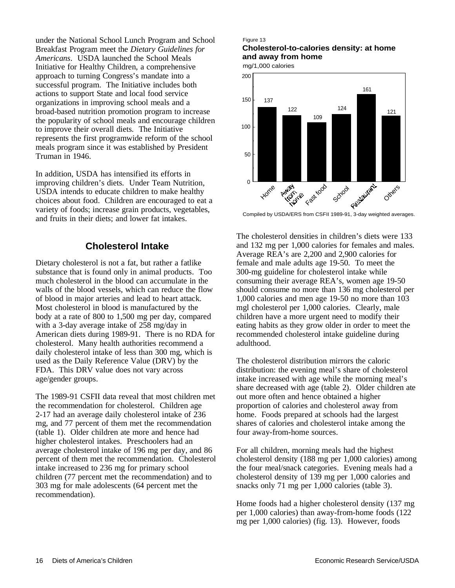under the National School Lunch Program and School Breakfast Program meet the *Dietary Guidelines for Americans*. USDA launched the School Meals Initiative for Healthy Children, a comprehensive approach to turning Congress's mandate into a successful program. The Initiative includes both actions to support State and local food service organizations in improving school meals and a broad-based nutrition promotion program to increase the popularity of school meals and encourage children to improve their overall diets. The Initiative represents the first programwide reform of the school meals program since it was established by President Truman in 1946.

In addition, USDA has intensified its efforts in improving children's diets. Under Team Nutrition, USDA intends to educate children to make healthy choices about food. Children are encouraged to eat a variety of foods; increase grain products, vegetables, and fruits in their diets; and lower fat intakes.

### **Cholesterol Intake**

Dietary cholesterol is not a fat, but rather a fatlike substance that is found only in animal products. Too much cholesterol in the blood can accumulate in the walls of the blood vessels, which can reduce the flow of blood in major arteries and lead to heart attack. Most cholesterol in blood is manufactured by the body at a rate of 800 to 1,500 mg per day, compared with a 3-day average intake of 258 mg/day in American diets during 1989-91. There is no RDA for cholesterol. Many health authorities recommend a daily cholesterol intake of less than 300 mg, which is used as the Daily Reference Value (DRV) by the FDA. This DRV value does not vary across age/gender groups.

The 1989-91 CSFII data reveal that most children met the recommendation for cholesterol. Children age 2-17 had an average daily cholesterol intake of 236 mg, and 77 percent of them met the recommendation (table 1). Older children ate more and hence had higher cholesterol intakes. Preschoolers had an average cholesterol intake of 196 mg per day, and 86 percent of them met the recommendation. Cholesterol intake increased to 236 mg for primary school children (77 percent met the recommendation) and to 303 mg for male adolescents (64 percent met the recommendation).

#### Figure 13

**Cholesterol-to-calories density: at home and away from home**





The cholesterol densities in children's diets were 133 and 132 mg per 1,000 calories for females and males. Average REA's are 2,200 and 2,900 calories for female and male adults age 19-50. To meet the 300-mg guideline for cholesterol intake while consuming their average REA's, women age 19-50 should consume no more than 136 mg cholesterol per 1,000 calories and men age 19-50 no more than 103 mgl cholesterol per 1,000 calories. Clearly, male children have a more urgent need to modify their eating habits as they grow older in order to meet the recommended cholesterol intake guideline during adulthood.

The cholesterol distribution mirrors the caloric distribution: the evening meal's share of cholesterol intake increased with age while the morning meal's share decreased with age (table 2). Older children ate out more often and hence obtained a higher proportion of calories and cholesterol away from home. Foods prepared at schools had the largest shares of calories and cholesterol intake among the four away-from-home sources.

For all children, morning meals had the highest cholesterol density (188 mg per 1,000 calories) among the four meal/snack categories. Evening meals had a cholesterol density of 139 mg per 1,000 calories and snacks only 71 mg per 1,000 calories (table 3).

Home foods had a higher cholesterol density (137 mg per 1,000 calories) than away-from-home foods (122 mg per 1,000 calories) (fig. 13). However, foods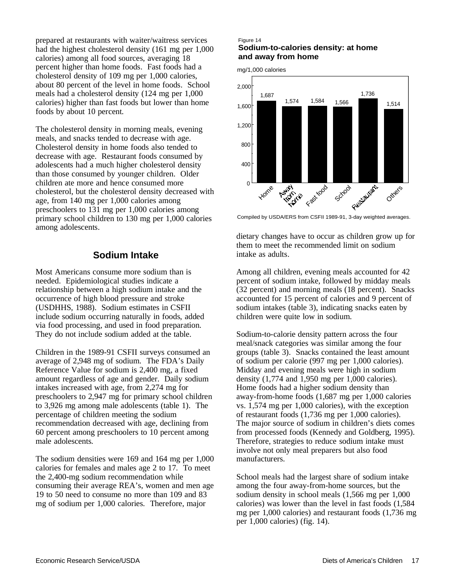prepared at restaurants with waiter/waitress services had the highest cholesterol density (161 mg per 1,000 calories) among all food sources, averaging 18 percent higher than home foods. Fast foods had a cholesterol density of 109 mg per 1,000 calories, about 80 percent of the level in home foods. School meals had a cholesterol density (124 mg per 1,000 calories) higher than fast foods but lower than home foods by about 10 percent.

The cholesterol density in morning meals, evening meals, and snacks tended to decrease with age. Cholesterol density in home foods also tended to decrease with age. Restaurant foods consumed by adolescents had a much higher cholesterol density than those consumed by younger children. Older children ate more and hence consumed more cholesterol, but the cholesterol density decreased with age, from 140 mg per 1,000 calories among preschoolers to 131 mg per 1,000 calories among primary school children to 130 mg per 1,000 calories among adolescents.

### **Sodium Intake**

Most Americans consume more sodium than is needed. Epidemiological studies indicate a relationship between a high sodium intake and the occurrence of high blood pressure and stroke (USDHHS, 1988). Sodium estimates in CSFII include sodium occurring naturally in foods, added via food processing, and used in food preparation. They do not include sodium added at the table.

Children in the 1989-91 CSFII surveys consumed an average of 2,948 mg of sodium. The FDA's Daily Reference Value for sodium is 2,400 mg, a fixed amount regardless of age and gender. Daily sodium intakes increased with age, from 2,274 mg for preschoolers to 2,947 mg for primary school children to 3,926 mg among male adolescents (table 1). The percentage of children meeting the sodium recommendation decreased with age, declining from 60 percent among preschoolers to 10 percent among male adolescents.

The sodium densities were 169 and 164 mg per 1,000 calories for females and males age 2 to 17. To meet the 2,400-mg sodium recommendation while consuming their average REA's, women and men age 19 to 50 need to consume no more than 109 and 83 mg of sodium per 1,000 calories. Therefore, major

#### Figure 14 **Sodium-to-calories density: at home and away from home**

mg/1,000 calories



dietary changes have to occur as children grow up for them to meet the recommended limit on sodium intake as adults.

Among all children, evening meals accounted for 42 percent of sodium intake, followed by midday meals (32 percent) and morning meals (18 percent). Snacks accounted for 15 percent of calories and 9 percent of sodium intakes (table 3), indicating snacks eaten by children were quite low in sodium.

Sodium-to-calorie density pattern across the four meal/snack categories was similar among the four groups (table 3). Snacks contained the least amount of sodium per calorie (997 mg per 1,000 calories). Midday and evening meals were high in sodium density (1,774 and 1,950 mg per 1,000 calories). Home foods had a higher sodium density than away-from-home foods (1,687 mg per 1,000 calories vs. 1,574 mg per 1,000 calories), with the exception of restaurant foods (1,736 mg per 1,000 calories). The major source of sodium in children's diets comes from processed foods (Kennedy and Goldberg, 1995). Therefore, strategies to reduce sodium intake must involve not only meal preparers but also food manufacturers.

School meals had the largest share of sodium intake among the four away-from-home sources, but the sodium density in school meals (1,566 mg per 1,000 calories) was lower than the level in fast foods (1,584 mg per 1,000 calories) and restaurant foods (1,736 mg per 1,000 calories) (fig. 14).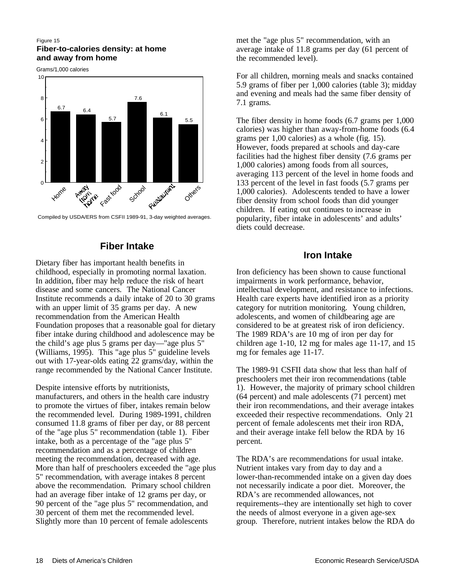#### Figure 15 **Fiber-to-calories density: at home and away from home**

Grams/1,000 calories



Compiled by USDA/ERS from CSFII 1989-91, 3-day weighted averages.

### **Fiber Intake**

Dietary fiber has important health benefits in childhood, especially in promoting normal laxation. In addition, fiber may help reduce the risk of heart disease and some cancers. The National Cancer Institute recommends a daily intake of 20 to 30 grams with an upper limit of 35 grams per day. A new recommendation from the American Health Foundation proposes that a reasonable goal for dietary fiber intake during childhood and adolescence may be the child's age plus 5 grams per day—"age plus 5" (Williams, 1995). This "age plus 5" guideline levels out with 17-year-olds eating 22 grams/day, within the range recommended by the National Cancer Institute.

Despite intensive efforts by nutritionists, manufacturers, and others in the health care industry to promote the virtues of fiber, intakes remain below the recommended level. During 1989-1991, children consumed 11.8 grams of fiber per day, or 88 percent of the "age plus 5" recommendation (table 1). Fiber intake, both as a percentage of the "age plus 5" recommendation and as a percentage of children meeting the recommendation, decreased with age. More than half of preschoolers exceeded the "age plus 5" recommendation, with average intakes 8 percent above the recommendation. Primary school children had an average fiber intake of 12 grams per day, or 90 percent of the "age plus 5" recommendation, and 30 percent of them met the recommended level. Slightly more than 10 percent of female adolescents

met the "age plus 5" recommendation, with an average intake of 11.8 grams per day (61 percent of the recommended level).

For all children, morning meals and snacks contained 5.9 grams of fiber per 1,000 calories (table 3); midday and evening and meals had the same fiber density of 7.1 grams.

The fiber density in home foods (6.7 grams per 1,000 calories) was higher than away-from-home foods (6.4 grams per 1,00 calories) as a whole (fig. 15). However, foods prepared at schools and day-care facilities had the highest fiber density (7.6 grams per 1,000 calories) among foods from all sources, averaging 113 percent of the level in home foods and 133 percent of the level in fast foods (5.7 grams per 1,000 calories). Adolescents tended to have a lower fiber density from school foods than did younger children. If eating out continues to increase in popularity, fiber intake in adolescents' and adults' diets could decrease.

## **Iron Intake**

Iron deficiency has been shown to cause functional impairments in work performance, behavior, intellectual development, and resistance to infections. Health care experts have identified iron as a priority category for nutrition monitoring. Young children, adolescents, and women of childbearing age are considered to be at greatest risk of iron deficiency. The 1989 RDA's are 10 mg of iron per day for children age 1-10, 12 mg for males age 11-17, and 15 mg for females age 11-17.

The 1989-91 CSFII data show that less than half of preschoolers met their iron recommendations (table 1). However, the majority of primary school children (64 percent) and male adolescents (71 percent) met their iron recommendations, and their average intakes exceeded their respective recommendations. Only 21 percent of female adolescents met their iron RDA, and their average intake fell below the RDA by 16 percent.

The RDA's are recommendations for usual intake. Nutrient intakes vary from day to day and a lower-than-recommended intake on a given day does not necessarily indicate a poor diet. Moreover, the RDA's are recommended allowances, not requirements--they are intentionally set high to cover the needs of almost everyone in a given age-sex group. Therefore, nutrient intakes below the RDA do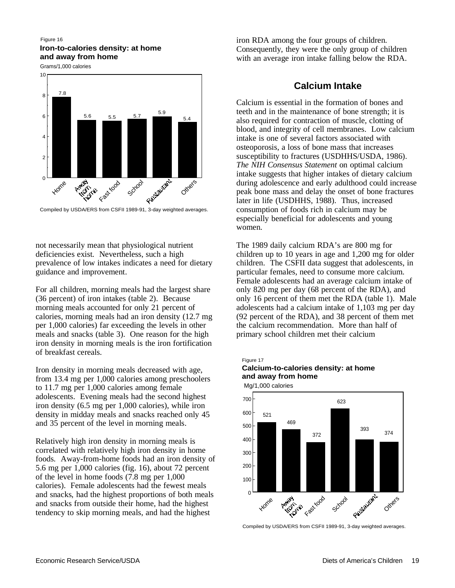#### Figure 16 **Iron-to-calories density: at home and away from home**

Grams/1,000 calories



not necessarily mean that physiological nutrient deficiencies exist. Nevertheless, such a high prevalence of low intakes indicates a need for dietary guidance and improvement.

For all children, morning meals had the largest share (36 percent) of iron intakes (table 2). Because morning meals accounted for only 21 percent of calories, morning meals had an iron density (12.7 mg per 1,000 calories) far exceeding the levels in other meals and snacks (table 3). One reason for the high iron density in morning meals is the iron fortification of breakfast cereals.

Iron density in morning meals decreased with age, from 13.4 mg per 1,000 calories among preschoolers to 11.7 mg per 1,000 calories among female adolescents. Evening meals had the second highest iron density (6.5 mg per 1,000 calories), while iron density in midday meals and snacks reached only 45 and 35 percent of the level in morning meals.

Relatively high iron density in morning meals is correlated with relatively high iron density in home foods. Away-from-home foods had an iron density of 5.6 mg per 1,000 calories (fig. 16), about 72 percent of the level in home foods (7.8 mg per 1,000 calories). Female adolescents had the fewest meals and snacks, had the highest proportions of both meals and snacks from outside their home, had the highest tendency to skip morning meals, and had the highest

iron RDA among the four groups of children. Consequently, they were the only group of children with an average iron intake falling below the RDA.

# **Calcium Intake**

Calcium is essential in the formation of bones and teeth and in the maintenance of bone strength; it is also required for contraction of muscle, clotting of blood, and integrity of cell membranes. Low calcium intake is one of several factors associated with osteoporosis, a loss of bone mass that increases susceptibility to fractures (USDHHS/USDA, 1986). *The NIH Consensus Statement* on optimal calcium intake suggests that higher intakes of dietary calcium during adolescence and early adulthood could increase peak bone mass and delay the onset of bone fractures later in life (USDHHS, 1988). Thus, increased consumption of foods rich in calcium may be especially beneficial for adolescents and young women.

The 1989 daily calcium RDA's are 800 mg for children up to 10 years in age and 1,200 mg for older children. The CSFII data suggest that adolescents, in particular females, need to consume more calcium. Female adolescents had an average calcium intake of only 820 mg per day (68 percent of the RDA), and only 16 percent of them met the RDA (table 1). Male adolescents had a calcium intake of 1,103 mg per day (92 percent of the RDA), and 38 percent of them met the calcium recommendation. More than half of primary school children met their calcium

### Figure 17 **Calcium-to-calories density: at home and away from home**



Compiled by USDA/ERS from CSFII 1989-91, 3-day weighted averages.